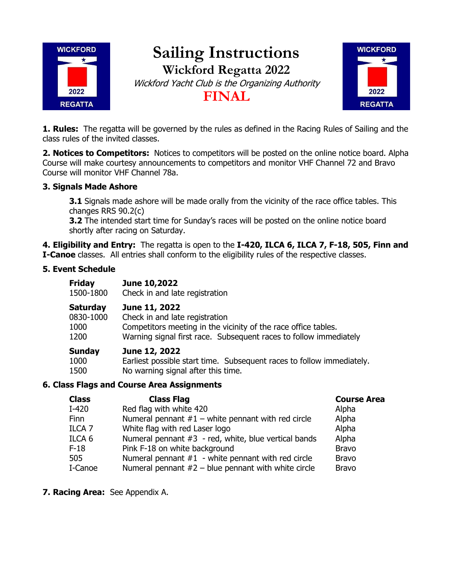

# **Sailing Instructions Wickford Regatta 2022** Wickford Yacht Club is the Organizing Authority **FINAL**



**1. Rules:** The regatta will be governed by the rules as defined in the Racing Rules of Sailing and the class rules of the invited classes.

**2. Notices to Competitors:** Notices to competitors will be posted on the online notice board. Alpha Course will make courtesy announcements to competitors and monitor VHF Channel 72 and Bravo Course will monitor VHF Channel 78a.

### **3. Signals Made Ashore**

**3.1** Signals made ashore will be made orally from the vicinity of the race office tables. This changes RRS 90.2(c)

**3.2** The intended start time for Sunday's races will be posted on the online notice board shortly after racing on Saturday.

**4. Eligibility and Entry:** The regatta is open to the **I-420, ILCA 6, ILCA 7, F-18, 505, Finn and I-Canoe** classes. All entries shall conform to the eligibility rules of the respective classes.

#### **5. Event Schedule**

| <b>Friday</b> | June 10,2022                                                          |
|---------------|-----------------------------------------------------------------------|
| 1500-1800     | Check in and late registration                                        |
| Saturday      | June 11, 2022                                                         |
| 0830-1000     | Check in and late registration                                        |
| 1000          | Competitors meeting in the vicinity of the race office tables.        |
| 1200          | Warning signal first race. Subsequent races to follow immediately     |
| Sunday        | June 12, 2022                                                         |
| 1000          | Earliest possible start time. Subsequent races to follow immediately. |
| 1500          | No warning signal after this time.                                    |

#### **6. Class Flags and Course Area Assignments**

| <b>Class</b>      | <b>Class Flag</b>                                       | <b>Course Area</b> |
|-------------------|---------------------------------------------------------|--------------------|
| I-420             | Red flag with white 420                                 | Alpha              |
| <b>Finn</b>       | Numeral pennant $#1$ – white pennant with red circle    | Alpha              |
| ILCA <sub>7</sub> | White flag with red Laser logo                          | Alpha              |
| ILCA 6            | Numeral pennant $#3 - red$ , white, blue vertical bands | Alpha              |
| $F-18$            | Pink F-18 on white background                           | <b>Bravo</b>       |
| 505               | Numeral pennant $#1$ - white pennant with red circle    | <b>Bravo</b>       |
| I-Canoe           | Numeral pennant $#2 -$ blue pennant with white circle   | <b>Bravo</b>       |
|                   |                                                         |                    |

**7. Racing Area:** See Appendix A.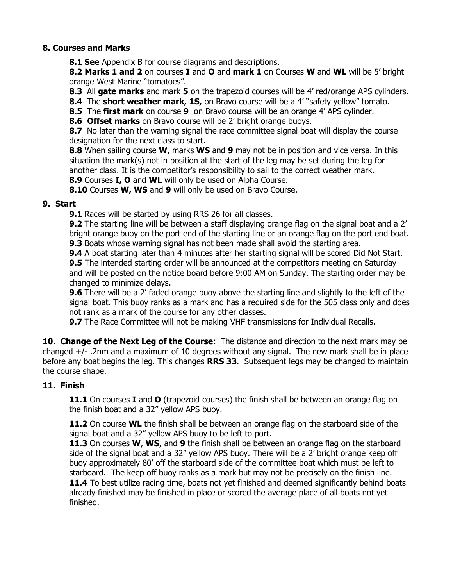#### **8. Courses and Marks**

**8.1 See** Appendix B for course diagrams and descriptions.

**8.2 Marks 1 and 2** on courses **I** and **O** and **mark 1** on Courses **W** and **WL** will be 5' bright orange West Marine "tomatoes".

**8.3** All **gate marks** and mark **5** on the trapezoid courses will be 4' red/orange APS cylinders.

**8.4** The **short weather mark, 1S,** on Bravo course will be a 4' "safety yellow" tomato.

**8.5** The **first mark** on course **9** on Bravo course will be an orange 4' APS cylinder.

**8.6 Offset marks** on Bravo course will be 2' bright orange buoys.

**8.7** No later than the warning signal the race committee signal boat will display the course designation for the next class to start.

**8.8** When sailing course **W**, marks **WS** and **9** may not be in position and vice versa. In this situation the mark(s) not in position at the start of the leg may be set during the leg for another class. It is the competitor's responsibility to sail to the correct weather mark.

**8.9** Courses **I, O** and **WL** will only be used on Alpha Course.

**8.10** Courses **W, WS** and **9** will only be used on Bravo Course.

#### **9. Start**

**9.1** Races will be started by using RRS 26 for all classes.

**9.2** The starting line will be between a staff displaying orange flag on the signal boat and a 2' bright orange buoy on the port end of the starting line or an orange flag on the port end boat.

**9.3** Boats whose warning signal has not been made shall avoid the starting area.

**9.4** A boat starting later than 4 minutes after her starting signal will be scored Did Not Start. **9.5** The intended starting order will be announced at the competitors meeting on Saturday and will be posted on the notice board before 9:00 AM on Sunday. The starting order may be changed to minimize delays.

**9.6** There will be a 2' faded orange buoy above the starting line and slightly to the left of the signal boat. This buoy ranks as a mark and has a required side for the 505 class only and does not rank as a mark of the course for any other classes.

**9.7** The Race Committee will not be making VHF transmissions for Individual Recalls.

**10. Change of the Next Leg of the Course:** The distance and direction to the next mark may be changed +/- .2nm and a maximum of 10 degrees without any signal. The new mark shall be in place before any boat begins the leg. This changes **RRS 33**. Subsequent legs may be changed to maintain the course shape.

#### **11. Finish**

**11.1** On courses **I** and **O** (trapezoid courses) the finish shall be between an orange flag on the finish boat and a 32" yellow APS buoy.

**11.2** On course **WL** the finish shall be between an orange flag on the starboard side of the signal boat and a 32" yellow APS buoy to be left to port.

**11.3** On courses **W**, **WS**, and **9** the finish shall be between an orange flag on the starboard side of the signal boat and a 32" yellow APS buoy. There will be a 2' bright orange keep off buoy approximately 80' off the starboard side of the committee boat which must be left to starboard. The keep off buoy ranks as a mark but may not be precisely on the finish line. **11.4** To best utilize racing time, boats not yet finished and deemed significantly behind boats already finished may be finished in place or scored the average place of all boats not yet finished.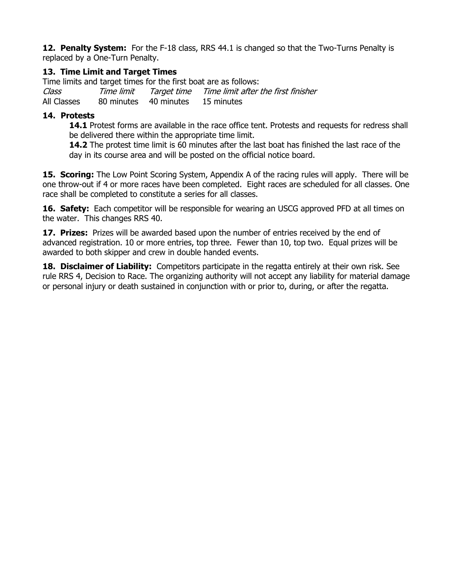**12. Penalty System:** For the F-18 class, RRS 44.1 is changed so that the Two-Turns Penalty is replaced by a One-Turn Penalty.

#### **13. Time Limit and Target Times**

Time limits and target times for the first boat are as follows: Class Time limit Target time Time limit after the first finisher All Classes 80 minutes 40 minutes 15 minutes

#### **14. Protests**

**14.1** Protest forms are available in the race office tent. Protests and requests for redress shall be delivered there within the appropriate time limit.

**14.2** The protest time limit is 60 minutes after the last boat has finished the last race of the day in its course area and will be posted on the official notice board.

**15. Scoring:** The Low Point Scoring System, Appendix A of the racing rules will apply. There will be one throw-out if 4 or more races have been completed. Eight races are scheduled for all classes. One race shall be completed to constitute a series for all classes.

**16. Safety:** Each competitor will be responsible for wearing an USCG approved PFD at all times on the water. This changes RRS 40.

**17. Prizes:** Prizes will be awarded based upon the number of entries received by the end of advanced registration. 10 or more entries, top three. Fewer than 10, top two. Equal prizes will be awarded to both skipper and crew in double handed events.

**18. Disclaimer of Liability:** Competitors participate in the regatta entirely at their own risk. See rule RRS 4, Decision to Race. The organizing authority will not accept any liability for material damage or personal injury or death sustained in conjunction with or prior to, during, or after the regatta.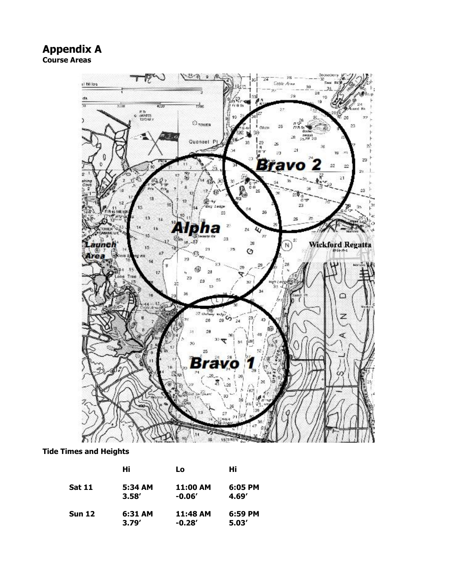### **Appendix A Course Areas**



**Tide Times and Heights**

|               | Hi      | Lo       | Hi      |
|---------------|---------|----------|---------|
| <b>Sat 11</b> | 5:34 AM | 11:00 AM | 6:05 PM |
|               | 3.58'   | $-0.06'$ | 4.69'   |
| <b>Sun 12</b> | 6:31 AM | 11:48 AM | 6:59 PM |
|               | 3.79'   | $-0.28'$ | 5.03'   |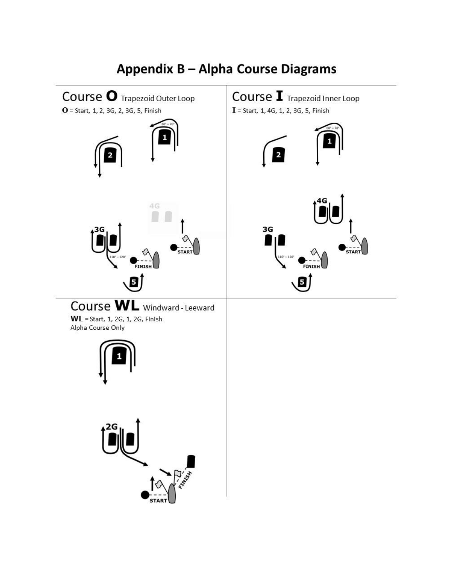

# Appendix B - Alpha Course Diagrams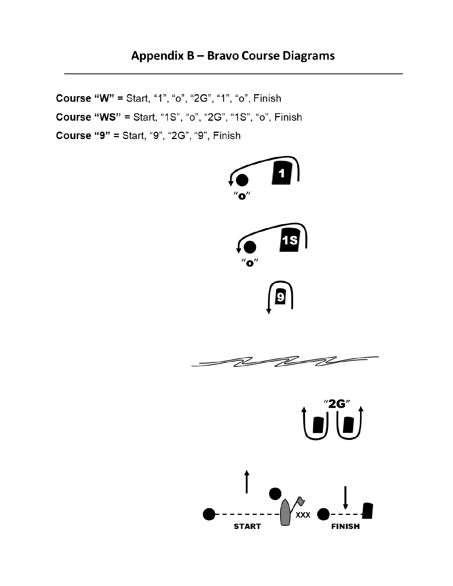## **Appendix B - Bravo Course Diagrams**

Course "W" = Start, "1", "o", "2G", "1", "o", Finish

Course "WS" = Start, "1S", "o", "2G", "1S", "o", Finish

Course "9" = Start, "9", "2G", "9", Finish